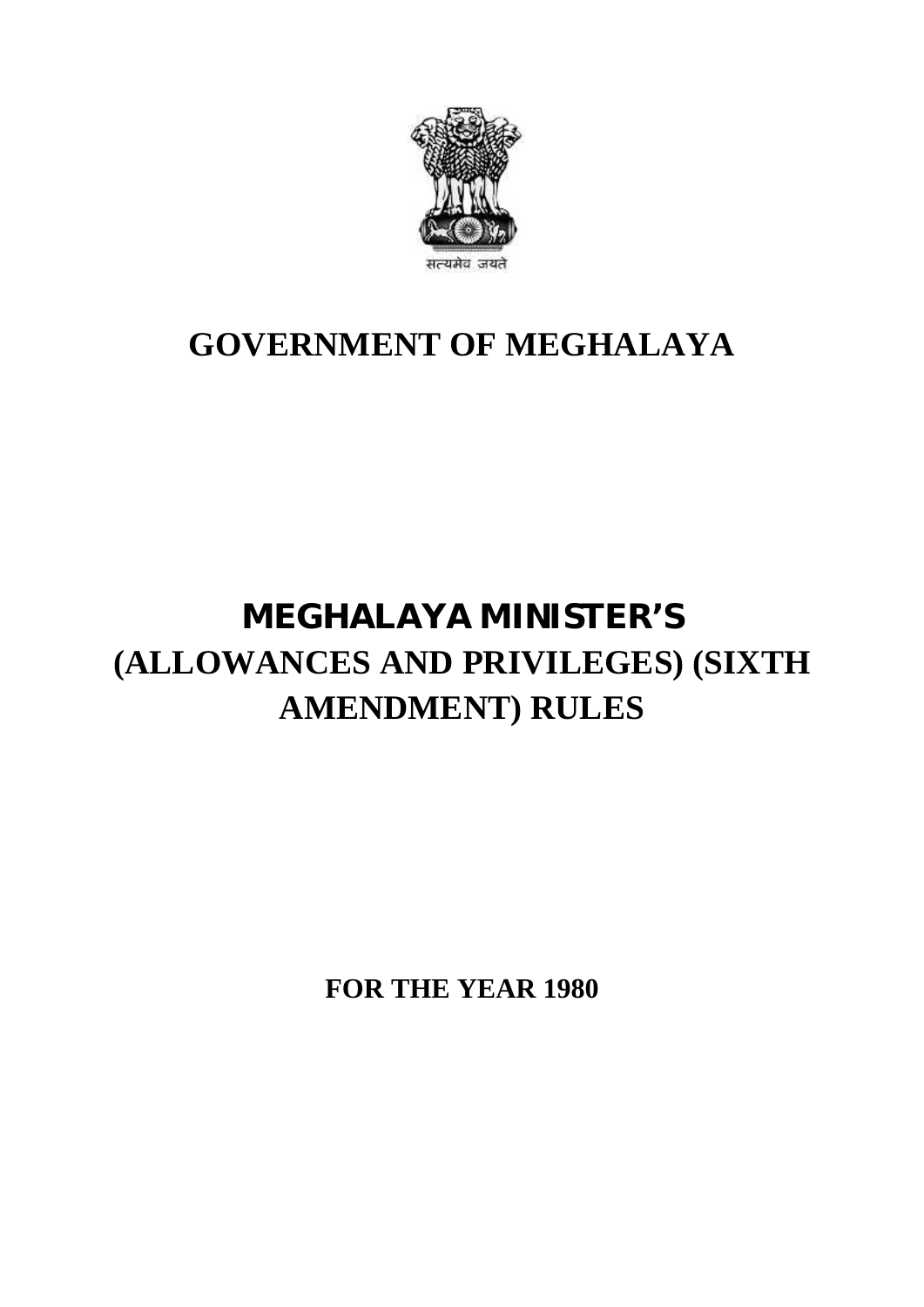

## **GOVERNMENT OF MEGHALAYA**

# **MEGHALAYA MINISTER'S MEGHALAYA MINISTER'S<br>(ALLOWANCES AND PRIVILEGES) (SIXTH<br>AMENDMENT) RULES EGHALAYA MINISTER'S<br>NCES AND PRIVILEGES) (SIXT<br>AMENDMENT) RULES**

**FOR THE YEAR 1980**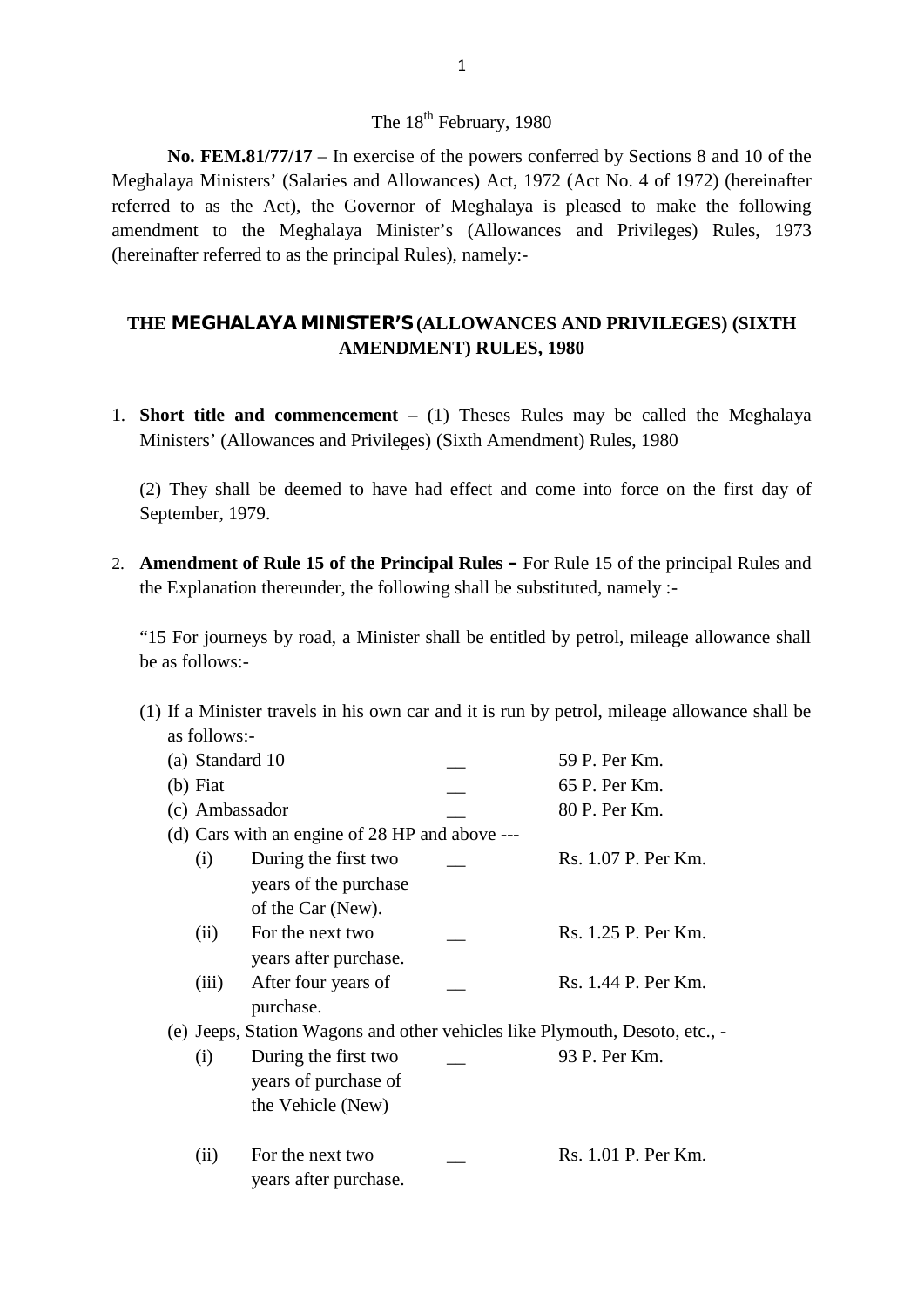### The 18<sup>th</sup> February, 1980

**No. FEM.81/77/17** – In exercise of the powers conferred by Sections 8 and 10 of the Meghalaya Ministers' (Salaries and Allowances) Act, 1972 (Act No. 4 of 1972) (hereinafter The 18<sup>th</sup> February, 1980<br>No. FEM.81/77/17 – In exercise of the powers conferred by Sections 8 and 10 of the<br>Meghalaya Ministers' (Salaries and Allowances) Act, 1972 (Act No. 4 of 1972) (hereinafter<br>referred to as the Act) The 18<sup>th</sup> February, 1980<br> **No. FEM.81/77/17** – In exercise of the powers conferred by Sections 8 and 10 of the<br>
Meghalaya Ministers' (Salaries and Allowances) Act, 1972 (Act No. 4 of 1972) (hereinafter<br>
referred to as the No. FEM.81/77/17 – In exercise of the powers confer<br>Meghalaya Ministers' (Salaries and Allowances) Act, 1972 (<br>referred to as the Act), the Governor of Meghalaya is p<br>amendment to the Meghalaya Minister's (Allowances<br>(here amendment to the Meghalaya Minister's (Allowances and Privileges) Rules, 1973<br>(hereinafter referred to as the principal Rules), namely:-<br>**THE MEGHALAYA MINISTER'S (ALLOWANCES AND PRIVILEGES) (SIXTH<br>AMENDMENT) RULES, 1980** 

# THE MEGHALAYA MINISTER'S (ALLOWANCES AND PRIVILEGES) (SIXTH

1. **Short title and commencement** – (1) Theses Rules may be called the Meghalaya Ministers' (Allowances and Privileges) (Sixth Amendment) Rules, 1980 **Short title and commencement**  $- (1)$  Theses Rules may be called the Meghalaya Ministers' (Allowances and Privileges) (Sixth Amendment) Rules, 1980<br>(2) They shall be deemed to have had effect and come into force on the fi

September, 1979.

2. **Amendment of Rule 15 of the Principal Rules** – For Rule 15 of the principal Rules and the Explanation thereunder, the following shall be substituted, namely :the Explanation thereunder, the following shall be substituted, namely :-

"15 For journeys by road, a Minister shall be entitled by petrol, mileage allowance shall be as follows:- (1) If a Minister travels in his own car and it is run by petrol, mileage allowance shall be as follows:-

as follows:-

| us follows:-    |                                                                             |  |                                                                                     |  |  |  |
|-----------------|-----------------------------------------------------------------------------|--|-------------------------------------------------------------------------------------|--|--|--|
| as follows:-    |                                                                             |  | If a Minister travels in his own car and it is run by petrol, mileage allowance she |  |  |  |
| (a) Standard 10 |                                                                             |  | 59 P. Per Km.                                                                       |  |  |  |
| $(b)$ Fiat      |                                                                             |  | 65 P. Per Km.                                                                       |  |  |  |
| (c) Ambassador  |                                                                             |  | 80 P. Per Km.                                                                       |  |  |  |
|                 | (d) Cars with an engine of 28 HP and above ---                              |  |                                                                                     |  |  |  |
| (i)             | During the first two<br>years of the purchase<br>of the Car (New).          |  | Rs. 1.07 P. Per Km.                                                                 |  |  |  |
| (ii)            | For the next two<br>years after purchase.                                   |  | Rs. 1.25 P. Per Km.                                                                 |  |  |  |
| (iii)           | After four years of<br>purchase.                                            |  | Rs. 1.44 P. Per Km.                                                                 |  |  |  |
|                 | (e) Jeeps, Station Wagons and other vehicles like Plymouth, Desoto, etc., - |  |                                                                                     |  |  |  |
| (i)             | During the first two<br>years of purchase of<br>the Vehicle (New)           |  | 93 P. Per Km.                                                                       |  |  |  |
| (ii)            | For the next two<br>years after purchase.                                   |  | Rs. 1.01 P. Per Km.                                                                 |  |  |  |
|                 |                                                                             |  |                                                                                     |  |  |  |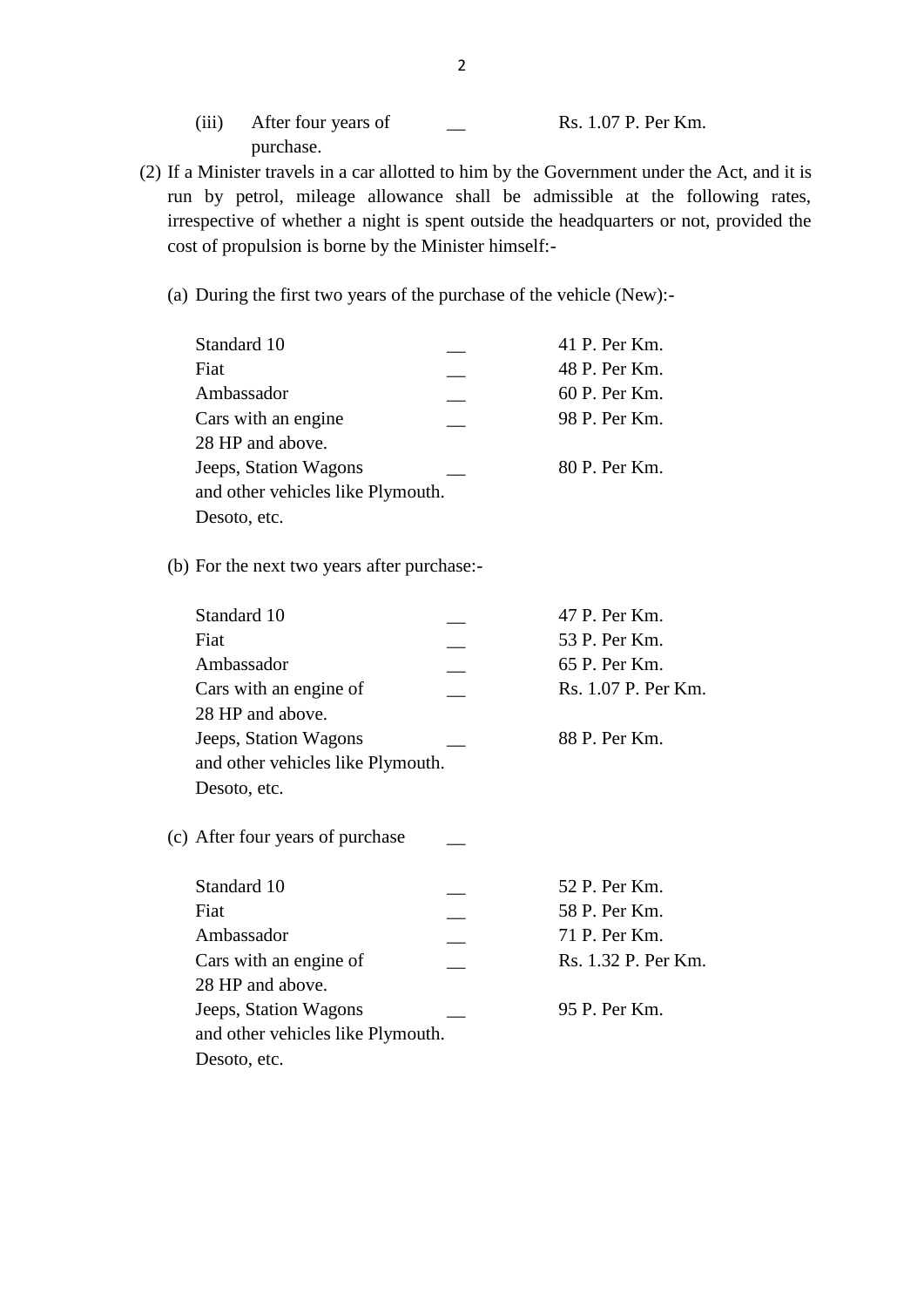- (iii) After four years of 2<br>purchase. Rs. 1.07 P. Per Km. purchase. (iii) After four years of Theorem 2014, 107 P. Per Km.<br>
purchase.<br>
(2) If a Minister travels in a car allotted to him by the Government under the Act, and it is
- run by petrol, mileage allowance shall be admissible at the following rates, irrespective of whether a night is spent outside the headquarters or not, provided the cost of propulsion is borne by the Minister himself:-<br>(a) irrespective of whether a night is spent outside the headquarters or not, provided the cost of propulsion is borne by the Minister himself:-
	-

| t of propulsion is borne by the Minister himself:-                |               |
|-------------------------------------------------------------------|---------------|
| During the first two years of the purchase of the vehicle (New):- |               |
| Standard 10                                                       | 41 P. Per Km. |
| Fiat                                                              | 48 P. Per Km. |
| Ambassador                                                        | 60 P. Per Km. |
| Cars with an engine                                               | 98 P. Per Km. |
| 28 HP and above.                                                  |               |
| Jeeps, Station Wagons                                             | 80 P. Per Km. |
| and other vehicles like Plymouth.                                 |               |
| Desoto, etc.                                                      |               |

| Desoto, etc.                                               |  |                     |  |  |  |  |
|------------------------------------------------------------|--|---------------------|--|--|--|--|
| (b) For the next two years after purchase:-                |  |                     |  |  |  |  |
| Standard 10                                                |  | 47 P. Per Km.       |  |  |  |  |
| Fiat                                                       |  | 53 P. Per Km.       |  |  |  |  |
| Ambassador                                                 |  | 65 P. Per Km.       |  |  |  |  |
| Cars with an engine of<br>28 HP and above.                 |  | Rs. 1.07 P. Per Km. |  |  |  |  |
| Jeeps, Station Wagons<br>and other vehicles like Plymouth. |  | 88 P. Per Km.       |  |  |  |  |
| Desoto, etc.                                               |  |                     |  |  |  |  |
| (c) After four years of purchase                           |  |                     |  |  |  |  |
| Standard 10                                                |  | 52 P. Per Km.       |  |  |  |  |
| Fiat                                                       |  | 58 P. Per Km.       |  |  |  |  |
| Ambassador                                                 |  | 71 P. Per Km.       |  |  |  |  |
| Cars with an engine of                                     |  | Rs. 1.32 P. Per Km. |  |  |  |  |
| 28 HP and above.                                           |  |                     |  |  |  |  |
| Jeeps, Station Wagons                                      |  | 95 P. Per Km.       |  |  |  |  |
| and other vehicles like Plymouth.                          |  |                     |  |  |  |  |
| Desoto, etc.                                               |  |                     |  |  |  |  |